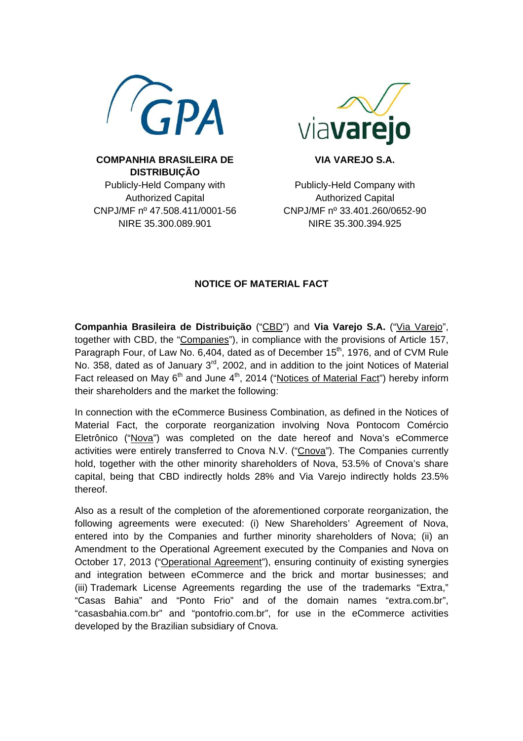



**VIA VAREJO S.A.** 

**COMPANHIA BRASILEIRA DE DISTRIBUIÇÃO**  Publicly-Held Company with Authorized Capital CNPJ/MF nº 47.508.411/0001-56 NIRE 35.300.089.901

Publicly-Held Company with Authorized Capital CNPJ/MF nº 33.401.260/0652-90 NIRE 35.300.394.925

## **NOTICE OF MATERIAL FACT**

**Companhia Brasileira de Distribuição** ("CBD") and **Via Varejo S.A.** ("Via Varejo", together with CBD, the "Companies"), in compliance with the provisions of Article 157, Paragraph Four, of Law No. 6,404, dated as of December  $15<sup>th</sup>$ , 1976, and of CVM Rule No. 358, dated as of January  $3<sup>rd</sup>$ , 2002, and in addition to the joint Notices of Material Fact released on May  $6<sup>th</sup>$  and June  $4<sup>th</sup>$ , 2014 ("Notices of Material Fact") hereby inform their shareholders and the market the following:

In connection with the eCommerce Business Combination, as defined in the Notices of Material Fact, the corporate reorganization involving Nova Pontocom Comércio Eletrônico ("Nova") was completed on the date hereof and Nova's eCommerce activities were entirely transferred to Cnova N.V. ("Cnova"). The Companies currently hold, together with the other minority shareholders of Nova, 53.5% of Cnova's share capital, being that CBD indirectly holds 28% and Via Varejo indirectly holds 23.5% thereof.

Also as a result of the completion of the aforementioned corporate reorganization, the following agreements were executed: (i) New Shareholders' Agreement of Nova, entered into by the Companies and further minority shareholders of Nova; (ii) an Amendment to the Operational Agreement executed by the Companies and Nova on October 17, 2013 ("Operational Agreement"), ensuring continuity of existing synergies and integration between eCommerce and the brick and mortar businesses; and (iii) Trademark License Agreements regarding the use of the trademarks "Extra," "Casas Bahia" and "Ponto Frio" and of the domain names "extra.com.br", "casasbahia.com.br" and "pontofrio.com.br", for use in the eCommerce activities developed by the Brazilian subsidiary of Cnova.